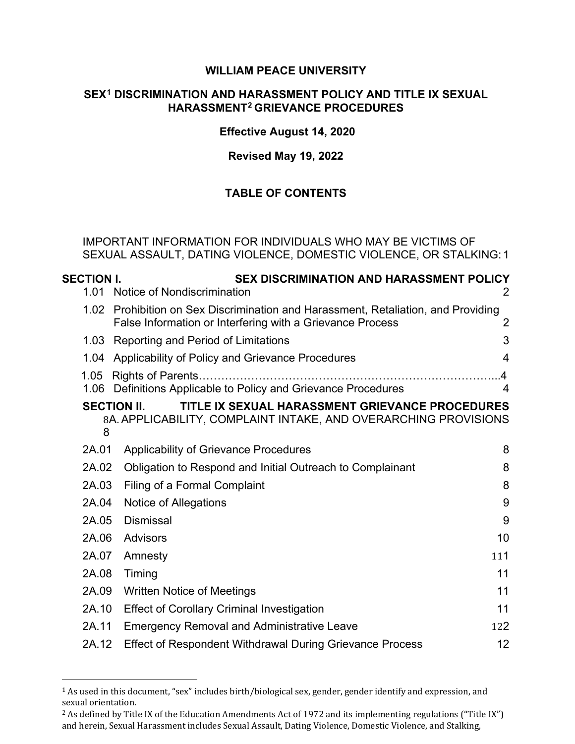#### **WILLIAM PEACE UNIVERSITY**

#### **SEX[1](#page-0-0) DISCRIMINATION AND HARASSMENT POLICY AND TITLE IX SEXUAL HARASSMENT[2](#page-0-1) GRIEVANCE PROCEDURES**

#### **Effective August 14, 2020**

#### **Revised May 19, 2022**

## **TABLE OF CONTENTS**

IMPORTANT INFORMATION FOR INDIVIDUALS WHO MAY BE VICTIMS OF SEXUAL ASSAULT, DATING VIOLENCE, DOMESTIC VIOLENCE, OR STALKING: [1](#page-3-0)

| <b>SECTION I.</b> | <b>SEX DISCRIMINATION AND HARASSMENT POLICY</b>                                                                                           |        |
|-------------------|-------------------------------------------------------------------------------------------------------------------------------------------|--------|
| 1.01              | Notice of Nondiscrimination                                                                                                               | 2      |
| 1.02 <sub>1</sub> | Prohibition on Sex Discrimination and Harassment, Retaliation, and Providing<br>False Information or Interfering with a Grievance Process | 2      |
| 1.03              | Reporting and Period of Limitations                                                                                                       | 3      |
| 1.04              | Applicability of Policy and Grievance Procedures                                                                                          | 4      |
| 1.05              | 1.06 Definitions Applicable to Policy and Grievance Procedures                                                                            | 4<br>4 |
| 8                 | TITLE IX SEXUAL HARASSMENT GRIEVANCE PROCEDURES<br><b>SECTION II.</b><br>8A. APPLICABILITY, COMPLAINT INTAKE, AND OVERARCHING PROVISIONS  |        |
| 2A.01             | <b>Applicability of Grievance Procedures</b>                                                                                              | 8      |
| 2A.02             | Obligation to Respond and Initial Outreach to Complainant                                                                                 | 8      |
| 2A.03             | Filing of a Formal Complaint                                                                                                              | 8      |
| 2A.04             | Notice of Allegations                                                                                                                     | 9      |
| 2A.05             | <b>Dismissal</b>                                                                                                                          | 9      |
| 2A.06             | Advisors                                                                                                                                  | 10     |
| 2A.07             | Amnesty                                                                                                                                   | 111    |
| 2A.08             | Timing                                                                                                                                    | 11     |
| 2A.09             | <b>Written Notice of Meetings</b>                                                                                                         | 11     |
| 2A.10             | <b>Effect of Corollary Criminal Investigation</b>                                                                                         | 11     |
| 2A.11             | <b>Emergency Removal and Administrative Leave</b>                                                                                         | 122    |
| 2A.12             | <b>Effect of Respondent Withdrawal During Grievance Process</b>                                                                           | 12     |

<span id="page-0-0"></span><sup>1</sup> As used in this document, "sex" includes birth/biological sex, gender, gender identify and expression, and sexual orientation.

<span id="page-0-1"></span><sup>&</sup>lt;sup>2</sup> As defined by Title IX of the Education Amendments Act of 1972 and its implementing regulations ("Title IX") and herein, Sexual Harassment includes Sexual Assault, Dating Violence, Domestic Violence, and Stalking,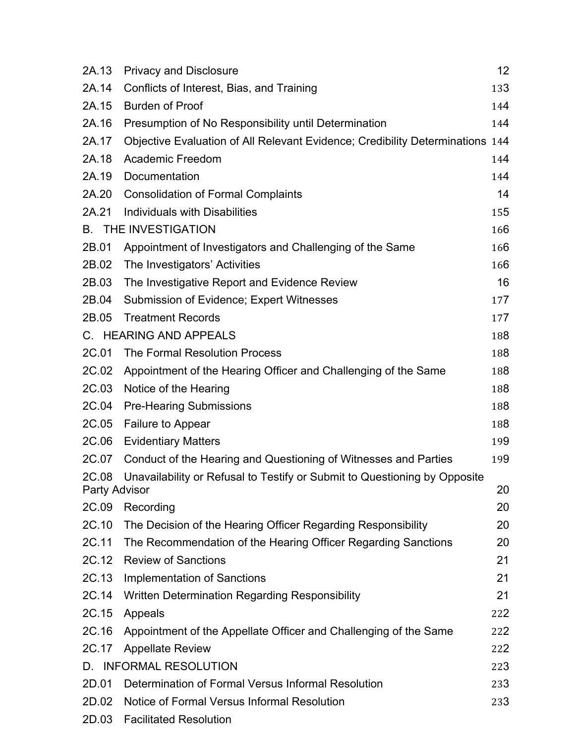| 2A.13                      | <b>Privacy and Disclosure</b>                                                 | 12  |
|----------------------------|-------------------------------------------------------------------------------|-----|
| 2A.14                      | Conflicts of Interest, Bias, and Training                                     | 133 |
| 2A.15                      | <b>Burden of Proof</b>                                                        | 144 |
| 2A.16                      | Presumption of No Responsibility until Determination                          | 144 |
| 2A.17                      | Objective Evaluation of All Relevant Evidence; Credibility Determinations 144 |     |
| 2A.18                      | <b>Academic Freedom</b>                                                       | 144 |
| 2A.19                      | Documentation                                                                 | 144 |
| 2A.20                      | <b>Consolidation of Formal Complaints</b>                                     | 14  |
| 2A.21                      | Individuals with Disabilities                                                 | 155 |
|                            | <b>B. THE INVESTIGATION</b>                                                   | 166 |
| 2B.01                      | Appointment of Investigators and Challenging of the Same                      | 166 |
| 2B.02                      | The Investigators' Activities                                                 | 166 |
| 2B.03                      | The Investigative Report and Evidence Review                                  | 16  |
| 2B.04                      | Submission of Evidence; Expert Witnesses                                      | 177 |
| 2B.05                      | <b>Treatment Records</b>                                                      | 177 |
|                            | C. HEARING AND APPEALS                                                        | 188 |
| 2C.01                      | <b>The Formal Resolution Process</b>                                          | 188 |
| 2C.02                      | Appointment of the Hearing Officer and Challenging of the Same                | 188 |
| 2C.03                      | Notice of the Hearing                                                         | 188 |
| 2C.04                      | <b>Pre-Hearing Submissions</b>                                                | 188 |
| 2C.05                      | Failure to Appear                                                             | 188 |
| 2C.06                      | <b>Evidentiary Matters</b>                                                    | 199 |
| 2C.07                      | Conduct of the Hearing and Questioning of Witnesses and Parties               | 199 |
| 2C.08                      | Unavailability or Refusal to Testify or Submit to Questioning by Opposite     |     |
| <b>Party Advisor</b><br>20 |                                                                               |     |
| 2C.09                      | Recording                                                                     | 20  |
| 2C.10                      | The Decision of the Hearing Officer Regarding Responsibility                  | 20  |
| 2C.11                      | The Recommendation of the Hearing Officer Regarding Sanctions                 | 20  |
| 2C.12                      | <b>Review of Sanctions</b>                                                    | 21  |
| 2C.13                      | <b>Implementation of Sanctions</b>                                            | 21  |
| 2C.14                      | Written Determination Regarding Responsibility                                | 21  |
| 2C.15                      | Appeals                                                                       | 222 |
| 2C.16                      | Appointment of the Appellate Officer and Challenging of the Same              | 222 |
| 2C.17                      | <b>Appellate Review</b>                                                       | 222 |
|                            | D. INFORMAL RESOLUTION                                                        | 223 |
| 2D.01                      | Determination of Formal Versus Informal Resolution                            | 233 |
| 2D.02                      | Notice of Formal Versus Informal Resolution                                   | 233 |
| 2D.03                      | <b>Facilitated Resolution</b>                                                 |     |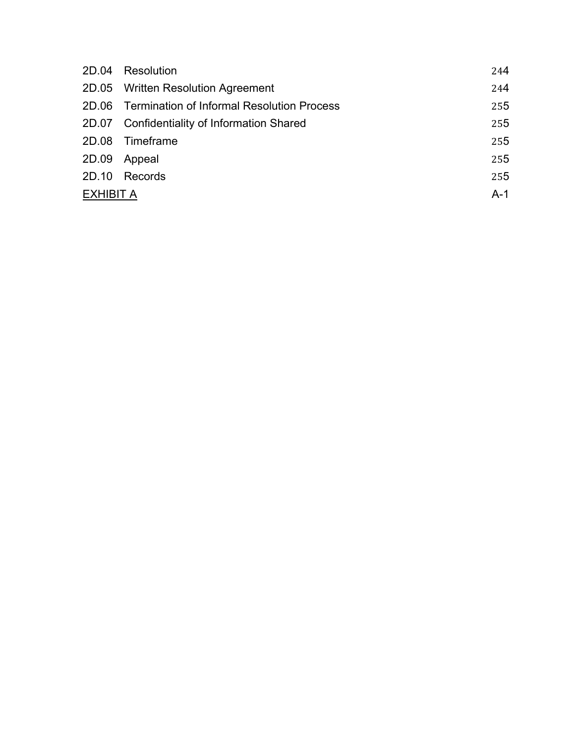|                  | 2D.04 Resolution                                 | 244   |
|------------------|--------------------------------------------------|-------|
|                  | 2D.05 Written Resolution Agreement               | 244   |
|                  | 2D.06 Termination of Informal Resolution Process | 255   |
|                  | 2D.07 Confidentiality of Information Shared      | 255   |
|                  | 2D.08 Timeframe                                  | 255   |
| 2D.09            | Appeal                                           | 255   |
|                  | 2D.10 Records                                    | 255   |
| <b>EXHIBIT A</b> |                                                  | $A-1$ |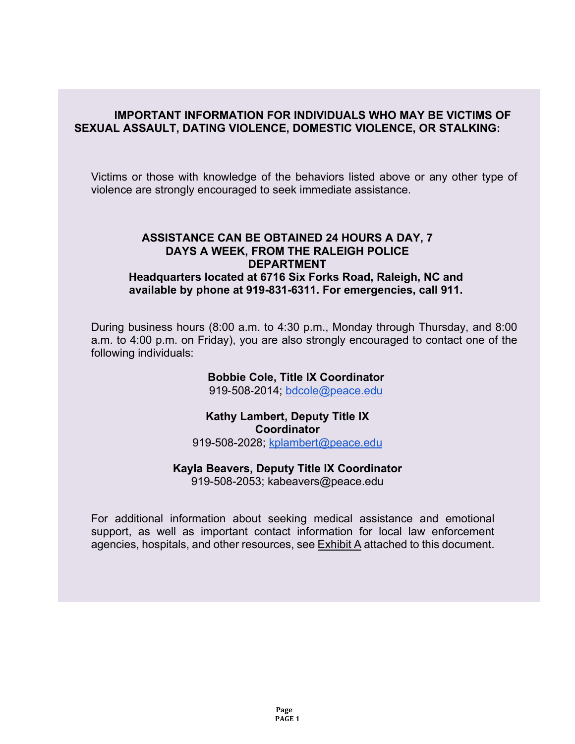#### <span id="page-3-0"></span>**IMPORTANT INFORMATION FOR INDIVIDUALS WHO MAY BE VICTIMS OF SEXUAL ASSAULT, DATING VIOLENCE, DOMESTIC VIOLENCE, OR STALKING:**

Victims or those with knowledge of the behaviors listed above or any other type of violence are strongly encouraged to seek immediate assistance.

### **ASSISTANCE CAN BE OBTAINED 24 HOURS A DAY, 7 DAYS A WEEK, FROM THE RALEIGH POLICE DEPARTMENT Headquarters located at 6716 Six Forks Road, Raleigh, NC and available by phone at 919-831-6311. For emergencies, call 911.**

During business hours (8:00 a.m. to 4:30 p.m., Monday through Thursday, and 8:00 a.m. to 4:00 p.m. on Friday), you are also strongly encouraged to contact one of the following individuals:

#### **Bobbie Cole, Title IX Coordinator**

919‐508‐2014; [bdcole@peace.edu](mailto:bdcole@peace.edu) 

## **Kathy Lambert, Deputy Title IX Coordinator**

919-508-2028; [kplambert@peace.edu](mailto:kplambert@peace.edu)

#### **Kayla Beavers, Deputy Title IX Coordinator**

919-508-2053; kabeavers@peace.edu

For additional information about seeking medical assistance and emotional support, as well as important contact information for local law enforcement agencies, hospitals, and other resources, see Exhibit A attached to this document.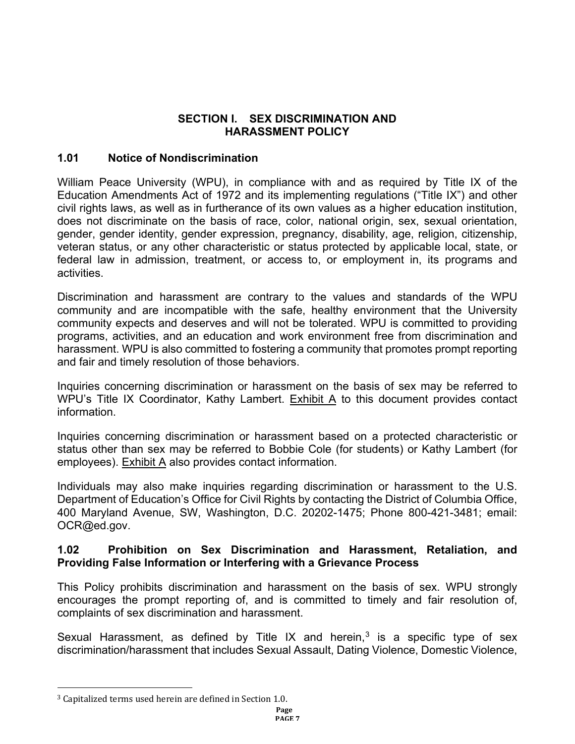## **SECTION I. SEX DISCRIMINATION AND HARASSMENT POLICY**

### <span id="page-4-0"></span>**1.01 Notice of Nondiscrimination**

William Peace University (WPU), in compliance with and as required by Title IX of the Education Amendments Act of 1972 and its implementing regulations ("Title IX") and other civil rights laws, as well as in furtherance of its own values as a higher education institution, does not discriminate on the basis of race, color, national origin, sex, sexual orientation, gender, gender identity, gender expression, pregnancy, disability, age, religion, citizenship, veteran status, or any other characteristic or status protected by applicable local, state, or federal law in admission, treatment, or access to, or employment in, its programs and activities.

Discrimination and harassment are contrary to the values and standards of the WPU community and are incompatible with the safe, healthy environment that the University community expects and deserves and will not be tolerated. WPU is committed to providing programs, activities, and an education and work environment free from discrimination and harassment. WPU is also committed to fostering a community that promotes prompt reporting and fair and timely resolution of those behaviors.

Inquiries concerning discrimination or harassment on the basis of sex may be referred to WPU's Title IX Coordinator, Kathy Lambert. Exhibit A to this document provides contact information.

Inquiries concerning discrimination or harassment based on a protected characteristic or status other than sex may be referred to Bobbie Cole (for students) or Kathy Lambert (for employees). Exhibit A also provides contact information.

Individuals may also make inquiries regarding discrimination or harassment to the U.S. Department of Education's Office for Civil Rights by contacting the District of Columbia Office, 400 Maryland Avenue, SW, Washington, D.C. 20202-1475; Phone 800-421-3481; email: OCR@ed.gov.

#### <span id="page-4-1"></span>**1.02 Prohibition on Sex Discrimination and Harassment, Retaliation, and Providing False Information or Interfering with a Grievance Process**

This Policy prohibits discrimination and harassment on the basis of sex. WPU strongly encourages the prompt reporting of, and is committed to timely and fair resolution of, complaints of sex discrimination and harassment.

Sexual Harassment, as defined by Title IX and herein, $3$  is a specific type of sex discrimination/harassment that includes Sexual Assault, Dating Violence, Domestic Violence,

<span id="page-4-2"></span><sup>3</sup> Capitalized terms used herein are defined in Section 1.0.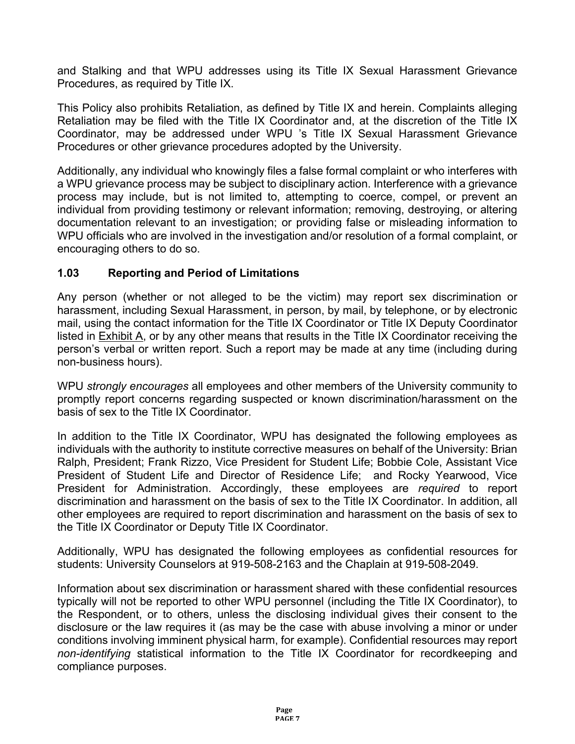and Stalking and that WPU addresses using its Title IX Sexual Harassment Grievance Procedures, as required by Title IX.

This Policy also prohibits Retaliation, as defined by Title IX and herein. Complaints alleging Retaliation may be filed with the Title IX Coordinator and, at the discretion of the Title IX Coordinator, may be addressed under WPU 's Title IX Sexual Harassment Grievance Procedures or other grievance procedures adopted by the University.

Additionally, any individual who knowingly files a false formal complaint or who interferes with a WPU grievance process may be subject to disciplinary action. Interference with a grievance process may include, but is not limited to, attempting to coerce, compel, or prevent an individual from providing testimony or relevant information; removing, destroying, or altering documentation relevant to an investigation; or providing false or misleading information to WPU officials who are involved in the investigation and/or resolution of a formal complaint, or encouraging others to do so.

### <span id="page-5-0"></span>**1.03 Reporting and Period of Limitations**

Any person (whether or not alleged to be the victim) may report sex discrimination or harassment, including Sexual Harassment, in person, by mail, by telephone, or by electronic mail, using the contact information for the Title IX Coordinator or Title IX Deputy Coordinator listed in Exhibit A, or by any other means that results in the Title IX Coordinator receiving the person's verbal or written report. Such a report may be made at any time (including during non-business hours).

WPU *strongly encourages* all employees and other members of the University community to promptly report concerns regarding suspected or known discrimination/harassment on the basis of sex to the Title IX Coordinator.

In addition to the Title IX Coordinator, WPU has designated the following employees as individuals with the authority to institute corrective measures on behalf of the University: Brian Ralph, President; Frank Rizzo, Vice President for Student Life; Bobbie Cole, Assistant Vice President of Student Life and Director of Residence Life; and Rocky Yearwood, Vice President for Administration. Accordingly, these employees are *required* to report discrimination and harassment on the basis of sex to the Title IX Coordinator. In addition, all other employees are required to report discrimination and harassment on the basis of sex to the Title IX Coordinator or Deputy Title IX Coordinator.

Additionally, WPU has designated the following employees as confidential resources for students: University Counselors at 919-508-2163 and the Chaplain at 919-508-2049.

Information about sex discrimination or harassment shared with these confidential resources typically will not be reported to other WPU personnel (including the Title IX Coordinator), to the Respondent, or to others, unless the disclosing individual gives their consent to the disclosure or the law requires it (as may be the case with abuse involving a minor or under conditions involving imminent physical harm, for example). Confidential resources may report *non-identifying* statistical information to the Title IX Coordinator for recordkeeping and compliance purposes.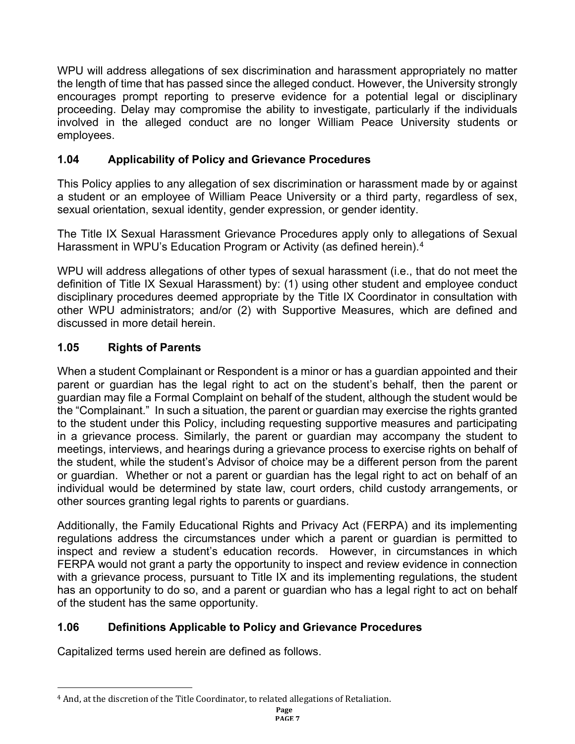WPU will address allegations of sex discrimination and harassment appropriately no matter the length of time that has passed since the alleged conduct. However, the University strongly encourages prompt reporting to preserve evidence for a potential legal or disciplinary proceeding. Delay may compromise the ability to investigate, particularly if the individuals involved in the alleged conduct are no longer William Peace University students or employees.

# **1.04 Applicability of Policy and Grievance Procedures**

This Policy applies to any allegation of sex discrimination or harassment made by or against a student or an employee of William Peace University or a third party, regardless of sex, sexual orientation, sexual identity, gender expression, or gender identity.

The Title IX Sexual Harassment Grievance Procedures apply only to allegations of Sexual Harassment in WPU's Education Program or Activity (as defined herein).<sup>[4](#page-6-1)</sup>

WPU will address allegations of other types of sexual harassment (i.e., that do not meet the definition of Title IX Sexual Harassment) by: (1) using other student and employee conduct disciplinary procedures deemed appropriate by the Title IX Coordinator in consultation with other WPU administrators; and/or (2) with Supportive Measures, which are defined and discussed in more detail herein.

# **1.05 Rights of Parents**

When a student Complainant or Respondent is a minor or has a guardian appointed and their parent or guardian has the legal right to act on the student's behalf, then the parent or guardian may file a Formal Complaint on behalf of the student, although the student would be the "Complainant." In such a situation, the parent or guardian may exercise the rights granted to the student under this Policy, including requesting supportive measures and participating in a grievance process. Similarly, the parent or guardian may accompany the student to meetings, interviews, and hearings during a grievance process to exercise rights on behalf of the student, while the student's Advisor of choice may be a different person from the parent or guardian. Whether or not a parent or guardian has the legal right to act on behalf of an individual would be determined by state law, court orders, child custody arrangements, or other sources granting legal rights to parents or guardians.

Additionally, the Family Educational Rights and Privacy Act (FERPA) and its implementing regulations address the circumstances under which a parent or guardian is permitted to inspect and review a student's education records. However, in circumstances in which FERPA would not grant a party the opportunity to inspect and review evidence in connection with a grievance process, pursuant to Title IX and its implementing regulations, the student has an opportunity to do so, and a parent or guardian who has a legal right to act on behalf of the student has the same opportunity.

# <span id="page-6-0"></span>**1.06 Definitions Applicable to Policy and Grievance Procedures**

Capitalized terms used herein are defined as follows.

<span id="page-6-1"></span><sup>4</sup> And, at the discretion of the Title Coordinator, to related allegations of Retaliation.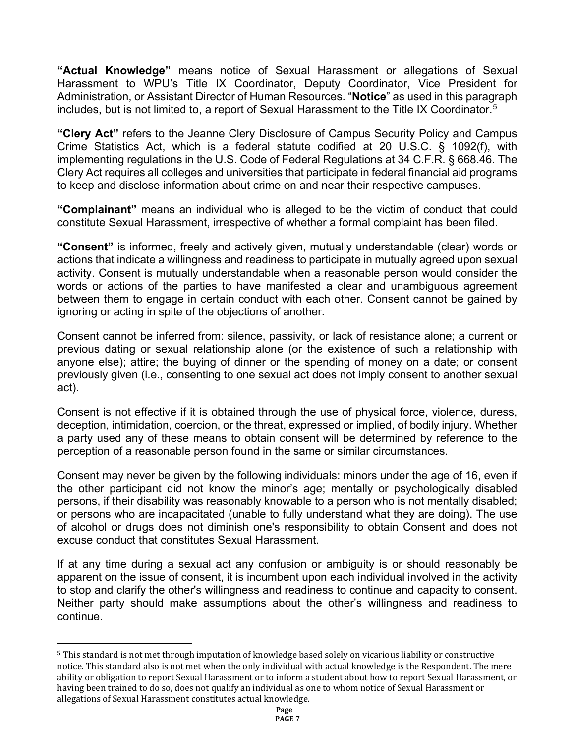**"Actual Knowledge"** means notice of Sexual Harassment or allegations of Sexual Harassment to WPU's Title IX Coordinator, Deputy Coordinator, Vice President for Administration, or Assistant Director of Human Resources. "**Notice**" as used in this paragraph includes, but is not limited to, a report of Sexual Harassment to the Title IX Coordinator.<sup>[5](#page-7-0)</sup>

**"Clery Act"** refers to the Jeanne Clery Disclosure of Campus Security Policy and Campus Crime Statistics Act, which is a federal statute codified at 20 U.S.C. § 1092(f), with implementing regulations in the U.S. Code of Federal Regulations at 34 C.F.R. § 668.46. The Clery Act requires all colleges and universities that participate in federal financial aid programs to keep and disclose information about crime on and near their respective campuses.

**"Complainant"** means an individual who is alleged to be the victim of conduct that could constitute Sexual Harassment, irrespective of whether a formal complaint has been filed.

**"Consent"** is informed, freely and actively given, mutually understandable (clear) words or actions that indicate a willingness and readiness to participate in mutually agreed upon sexual activity. Consent is mutually understandable when a reasonable person would consider the words or actions of the parties to have manifested a clear and unambiguous agreement between them to engage in certain conduct with each other. Consent cannot be gained by ignoring or acting in spite of the objections of another.

Consent cannot be inferred from: silence, passivity, or lack of resistance alone; a current or previous dating or sexual relationship alone (or the existence of such a relationship with anyone else); attire; the buying of dinner or the spending of money on a date; or consent previously given (i.e., consenting to one sexual act does not imply consent to another sexual act).

Consent is not effective if it is obtained through the use of physical force, violence, duress, deception, intimidation, coercion, or the threat, expressed or implied, of bodily injury. Whether a party used any of these means to obtain consent will be determined by reference to the perception of a reasonable person found in the same or similar circumstances.

Consent may never be given by the following individuals: minors under the age of 16, even if the other participant did not know the minor's age; mentally or psychologically disabled persons, if their disability was reasonably knowable to a person who is not mentally disabled; or persons who are incapacitated (unable to fully understand what they are doing). The use of alcohol or drugs does not diminish one's responsibility to obtain Consent and does not excuse conduct that constitutes Sexual Harassment.

If at any time during a sexual act any confusion or ambiguity is or should reasonably be apparent on the issue of consent, it is incumbent upon each individual involved in the activity to stop and clarify the other's willingness and readiness to continue and capacity to consent. Neither party should make assumptions about the other's willingness and readiness to continue.

<span id="page-7-0"></span><sup>5</sup> This standard is not met through imputation of knowledge based solely on vicarious liability or constructive notice. This standard also is not met when the only individual with actual knowledge is the Respondent. The mere ability or obligation to report Sexual Harassment or to inform a student about how to report Sexual Harassment, or having been trained to do so, does not qualify an individual as one to whom notice of Sexual Harassment or allegations of Sexual Harassment constitutes actual knowledge.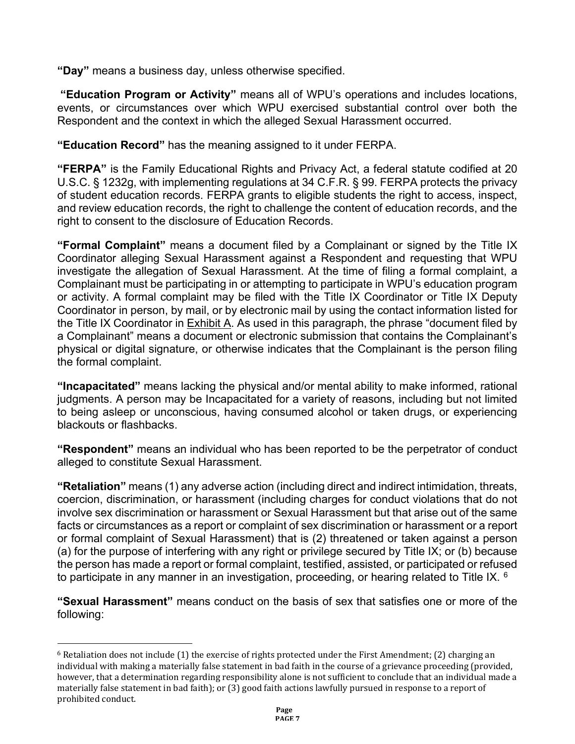**"Day"** means a business day, unless otherwise specified.

**"Education Program or Activity"** means all of WPU's operations and includes locations, events, or circumstances over which WPU exercised substantial control over both the Respondent and the context in which the alleged Sexual Harassment occurred.

**"Education Record"** has the meaning assigned to it under FERPA.

**"FERPA"** is the Family Educational Rights and Privacy Act, a federal statute codified at 20 U.S.C. § 1232g, with implementing regulations at 34 C.F.R. § 99. FERPA protects the privacy of student education records. FERPA grants to eligible students the right to access, inspect, and review education records, the right to challenge the content of education records, and the right to consent to the disclosure of Education Records.

**"Formal Complaint"** means a document filed by a Complainant or signed by the Title IX Coordinator alleging Sexual Harassment against a Respondent and requesting that WPU investigate the allegation of Sexual Harassment. At the time of filing a formal complaint, a Complainant must be participating in or attempting to participate in WPU's education program or activity. A formal complaint may be filed with the Title IX Coordinator or Title IX Deputy Coordinator in person, by mail, or by electronic mail by using the contact information listed for the Title IX Coordinator in **Exhibit A.** As used in this paragraph, the phrase "document filed by a Complainant" means a document or electronic submission that contains the Complainant's physical or digital signature, or otherwise indicates that the Complainant is the person filing the formal complaint.

**"Incapacitated"** means lacking the physical and/or mental ability to make informed, rational judgments. A person may be Incapacitated for a variety of reasons, including but not limited to being asleep or unconscious, having consumed alcohol or taken drugs, or experiencing blackouts or flashbacks.

**"Respondent"** means an individual who has been reported to be the perpetrator of conduct alleged to constitute Sexual Harassment.

**"Retaliation"** means (1) any adverse action (including direct and indirect intimidation, threats, coercion, discrimination, or harassment (including charges for conduct violations that do not involve sex discrimination or harassment or Sexual Harassment but that arise out of the same facts or circumstances as a report or complaint of sex discrimination or harassment or a report or formal complaint of Sexual Harassment) that is (2) threatened or taken against a person (a) for the purpose of interfering with any right or privilege secured by Title IX; or (b) because the person has made a report or formal complaint, testified, assisted, or participated or refused to participate in any manner in an investigation, proceeding, or hearing related to Title IX.  $6$ 

**"Sexual Harassment"** means conduct on the basis of sex that satisfies one or more of the following:

<span id="page-8-0"></span> $6$  Retaliation does not include (1) the exercise of rights protected under the First Amendment; (2) charging an individual with making a materially false statement in bad faith in the course of a grievance proceeding (provided, however, that a determination regarding responsibility alone is not sufficient to conclude that an individual made a materially false statement in bad faith); or (3) good faith actions lawfully pursued in response to a report of prohibited conduct.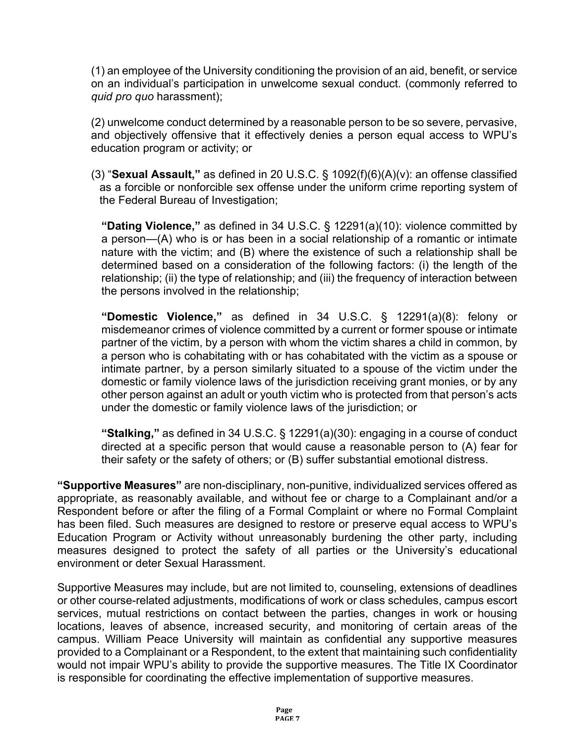(1) an employee of the University conditioning the provision of an aid, benefit, or service on an individual's participation in unwelcome sexual conduct. (commonly referred to *quid pro quo* harassment);

(2) unwelcome conduct determined by a reasonable person to be so severe, pervasive, and objectively offensive that it effectively denies a person equal access to WPU's education program or activity; or

(3) "**Sexual Assault,"** as defined in 20 U.S.C. § 1092(f)(6)(A)(v): an offense classified as a forcible or nonforcible sex offense under the uniform crime reporting system of the Federal Bureau of Investigation;

**"Dating Violence,"** as defined in 34 U.S.C. § 12291(a)(10): violence committed by a person—(A) who is or has been in a social relationship of a romantic or intimate nature with the victim; and (B) where the existence of such a relationship shall be determined based on a consideration of the following factors: (i) the length of the relationship; (ii) the type of relationship; and (iii) the frequency of interaction between the persons involved in the relationship;

**"Domestic Violence,"** as defined in 34 U.S.C. § 12291(a)(8): felony or misdemeanor crimes of violence committed by a current or former spouse or intimate partner of the victim, by a person with whom the victim shares a child in common, by a person who is cohabitating with or has cohabitated with the victim as a spouse or intimate partner, by a person similarly situated to a spouse of the victim under the domestic or family violence laws of the jurisdiction receiving grant monies, or by any other person against an adult or youth victim who is protected from that person's acts under the domestic or family violence laws of the jurisdiction; or

**"Stalking,"** as defined in 34 U.S.C. § 12291(a)(30): engaging in a course of conduct directed at a specific person that would cause a reasonable person to (A) fear for their safety or the safety of others; or (B) suffer substantial emotional distress.

**"Supportive Measures"** are non-disciplinary, non-punitive, individualized services offered as appropriate, as reasonably available, and without fee or charge to a Complainant and/or a Respondent before or after the filing of a Formal Complaint or where no Formal Complaint has been filed. Such measures are designed to restore or preserve equal access to WPU's Education Program or Activity without unreasonably burdening the other party, including measures designed to protect the safety of all parties or the University's educational environment or deter Sexual Harassment.

Supportive Measures may include, but are not limited to, counseling, extensions of deadlines or other course-related adjustments, modifications of work or class schedules, campus escort services, mutual restrictions on contact between the parties, changes in work or housing locations, leaves of absence, increased security, and monitoring of certain areas of the campus. William Peace University will maintain as confidential any supportive measures provided to a Complainant or a Respondent, to the extent that maintaining such confidentiality would not impair WPU's ability to provide the supportive measures. The Title IX Coordinator is responsible for coordinating the effective implementation of supportive measures.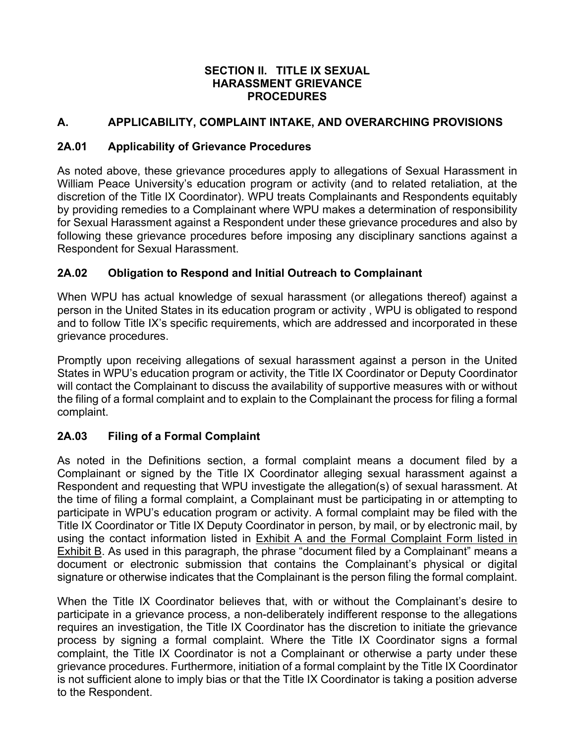#### **SECTION II. TITLE IX SEXUAL HARASSMENT GRIEVANCE PROCEDURES**

## <span id="page-10-0"></span>**A. APPLICABILITY, COMPLAINT INTAKE, AND OVERARCHING PROVISIONS**

#### <span id="page-10-1"></span>**2A.01 Applicability of Grievance Procedures**

As noted above, these grievance procedures apply to allegations of Sexual Harassment in William Peace University's education program or activity (and to related retaliation, at the discretion of the Title IX Coordinator). WPU treats Complainants and Respondents equitably by providing remedies to a Complainant where WPU makes a determination of responsibility for Sexual Harassment against a Respondent under these grievance procedures and also by following these grievance procedures before imposing any disciplinary sanctions against a Respondent for Sexual Harassment.

## <span id="page-10-2"></span>**2A.02 Obligation to Respond and Initial Outreach to Complainant**

When WPU has actual knowledge of sexual harassment (or allegations thereof) against a person in the United States in its education program or activity, WPU is obligated to respond and to follow Title IX's specific requirements, which are addressed and incorporated in these grievance procedures.

Promptly upon receiving allegations of sexual harassment against a person in the United States in WPU's education program or activity, the Title IX Coordinator or Deputy Coordinator will contact the Complainant to discuss the availability of supportive measures with or without the filing of a formal complaint and to explain to the Complainant the process for filing a formal complaint.

## <span id="page-10-3"></span>**2A.03 Filing of a Formal Complaint**

As noted in the Definitions section, a formal complaint means a document filed by a Complainant or signed by the Title IX Coordinator alleging sexual harassment against a Respondent and requesting that WPU investigate the allegation(s) of sexual harassment. At the time of filing a formal complaint, a Complainant must be participating in or attempting to participate in WPU's education program or activity. A formal complaint may be filed with the Title IX Coordinator or Title IX Deputy Coordinator in person, by mail, or by electronic mail, by using the contact information listed in Exhibit A and the Formal Complaint Form listed in Exhibit B. As used in this paragraph, the phrase "document filed by a Complainant" means a document or electronic submission that contains the Complainant's physical or digital signature or otherwise indicates that the Complainant is the person filing the formal complaint.

When the Title IX Coordinator believes that, with or without the Complainant's desire to participate in a grievance process, a non-deliberately indifferent response to the allegations requires an investigation, the Title IX Coordinator has the discretion to initiate the grievance process by signing a formal complaint. Where the Title IX Coordinator signs a formal complaint, the Title IX Coordinator is not a Complainant or otherwise a party under these grievance procedures. Furthermore, initiation of a formal complaint by the Title IX Coordinator is not sufficient alone to imply bias or that the Title IX Coordinator is taking a position adverse to the Respondent.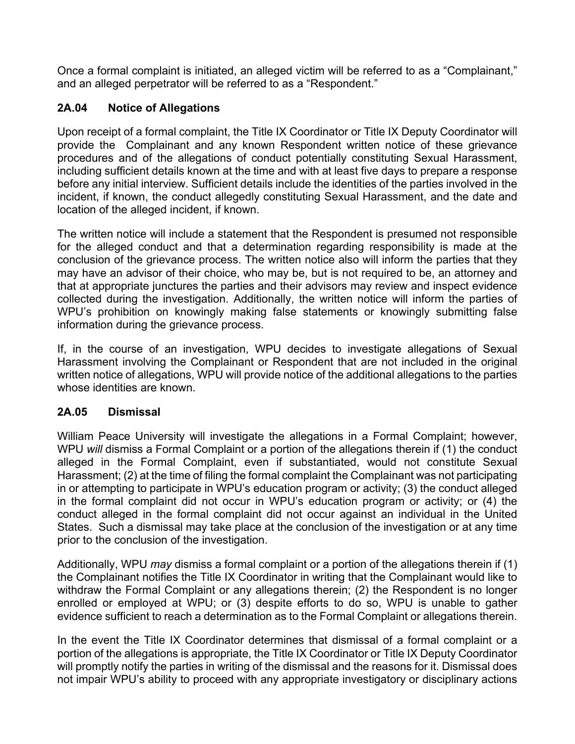Once a formal complaint is initiated, an alleged victim will be referred to as a "Complainant," and an alleged perpetrator will be referred to as a "Respondent."

## <span id="page-11-0"></span>**2A.04 Notice of Allegations**

Upon receipt of a formal complaint, the Title IX Coordinator or Title IX Deputy Coordinator will provide the Complainant and any known Respondent written notice of these grievance procedures and of the allegations of conduct potentially constituting Sexual Harassment, including sufficient details known at the time and with at least five days to prepare a response before any initial interview. Sufficient details include the identities of the parties involved in the incident, if known, the conduct allegedly constituting Sexual Harassment, and the date and location of the alleged incident, if known.

The written notice will include a statement that the Respondent is presumed not responsible for the alleged conduct and that a determination regarding responsibility is made at the conclusion of the grievance process. The written notice also will inform the parties that they may have an advisor of their choice, who may be, but is not required to be, an attorney and that at appropriate junctures the parties and their advisors may review and inspect evidence collected during the investigation. Additionally, the written notice will inform the parties of WPU's prohibition on knowingly making false statements or knowingly submitting false information during the grievance process.

If, in the course of an investigation, WPU decides to investigate allegations of Sexual Harassment involving the Complainant or Respondent that are not included in the original written notice of allegations, WPU will provide notice of the additional allegations to the parties whose identities are known.

## <span id="page-11-1"></span>**2A.05 Dismissal**

William Peace University will investigate the allegations in a Formal Complaint; however, WPU *will* dismiss a Formal Complaint or a portion of the allegations therein if (1) the conduct alleged in the Formal Complaint, even if substantiated, would not constitute Sexual Harassment; (2) at the time of filing the formal complaint the Complainant was not participating in or attempting to participate in WPU's education program or activity; (3) the conduct alleged in the formal complaint did not occur in WPU's education program or activity; or (4) the conduct alleged in the formal complaint did not occur against an individual in the United States. Such a dismissal may take place at the conclusion of the investigation or at any time prior to the conclusion of the investigation.

Additionally, WPU *may* dismiss a formal complaint or a portion of the allegations therein if (1) the Complainant notifies the Title IX Coordinator in writing that the Complainant would like to withdraw the Formal Complaint or any allegations therein; (2) the Respondent is no longer enrolled or employed at WPU; or (3) despite efforts to do so, WPU is unable to gather evidence sufficient to reach a determination as to the Formal Complaint or allegations therein.

In the event the Title IX Coordinator determines that dismissal of a formal complaint or a portion of the allegations is appropriate, the Title IX Coordinator or Title IX Deputy Coordinator will promptly notify the parties in writing of the dismissal and the reasons for it. Dismissal does not impair WPU's ability to proceed with any appropriate investigatory or disciplinary actions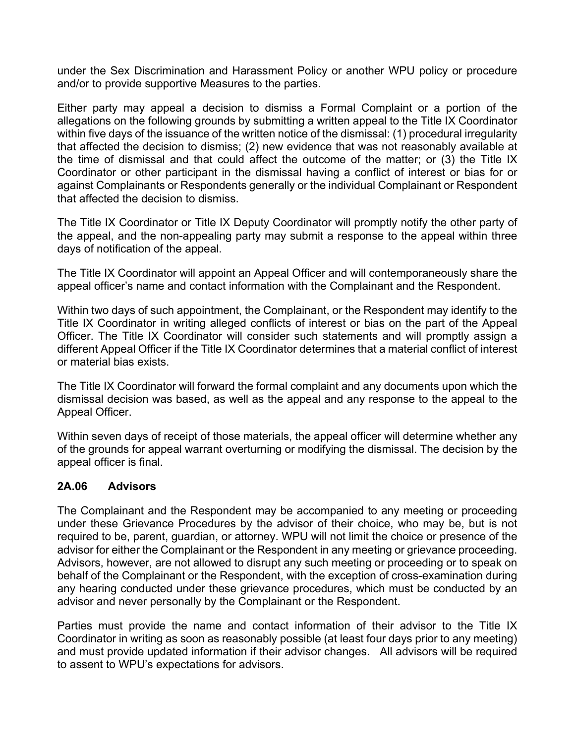under the Sex Discrimination and Harassment Policy or another WPU policy or procedure and/or to provide supportive Measures to the parties.

Either party may appeal a decision to dismiss a Formal Complaint or a portion of the allegations on the following grounds by submitting a written appeal to the Title IX Coordinator within five days of the issuance of the written notice of the dismissal: (1) procedural irregularity that affected the decision to dismiss; (2) new evidence that was not reasonably available at the time of dismissal and that could affect the outcome of the matter; or (3) the Title IX Coordinator or other participant in the dismissal having a conflict of interest or bias for or against Complainants or Respondents generally or the individual Complainant or Respondent that affected the decision to dismiss.

The Title IX Coordinator or Title IX Deputy Coordinator will promptly notify the other party of the appeal, and the non-appealing party may submit a response to the appeal within three days of notification of the appeal.

The Title IX Coordinator will appoint an Appeal Officer and will contemporaneously share the appeal officer's name and contact information with the Complainant and the Respondent.

Within two days of such appointment, the Complainant, or the Respondent may identify to the Title IX Coordinator in writing alleged conflicts of interest or bias on the part of the Appeal Officer. The Title IX Coordinator will consider such statements and will promptly assign a different Appeal Officer if the Title IX Coordinator determines that a material conflict of interest or material bias exists.

The Title IX Coordinator will forward the formal complaint and any documents upon which the dismissal decision was based, as well as the appeal and any response to the appeal to the Appeal Officer.

Within seven days of receipt of those materials, the appeal officer will determine whether any of the grounds for appeal warrant overturning or modifying the dismissal. The decision by the appeal officer is final.

#### <span id="page-12-0"></span>**2A.06 Advisors**

The Complainant and the Respondent may be accompanied to any meeting or proceeding under these Grievance Procedures by the advisor of their choice, who may be, but is not required to be, parent, guardian, or attorney. WPU will not limit the choice or presence of the advisor for either the Complainant or the Respondent in any meeting or grievance proceeding. Advisors, however, are not allowed to disrupt any such meeting or proceeding or to speak on behalf of the Complainant or the Respondent, with the exception of cross-examination during any hearing conducted under these grievance procedures, which must be conducted by an advisor and never personally by the Complainant or the Respondent.

Parties must provide the name and contact information of their advisor to the Title IX Coordinator in writing as soon as reasonably possible (at least four days prior to any meeting) and must provide updated information if their advisor changes. All advisors will be required to assent to WPU's expectations for advisors.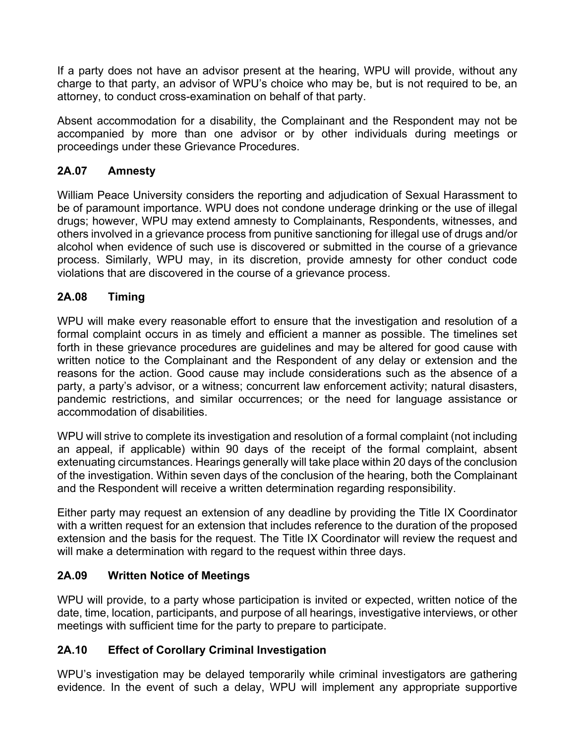If a party does not have an advisor present at the hearing, WPU will provide, without any charge to that party, an advisor of WPU's choice who may be, but is not required to be, an attorney, to conduct cross-examination on behalf of that party.

Absent accommodation for a disability, the Complainant and the Respondent may not be accompanied by more than one advisor or by other individuals during meetings or proceedings under these Grievance Procedures.

## **2A.07 Amnesty**

William Peace University considers the reporting and adjudication of Sexual Harassment to be of paramount importance. WPU does not condone underage drinking or the use of illegal drugs; however, WPU may extend amnesty to Complainants, Respondents, witnesses, and others involved in a grievance process from punitive sanctioning for illegal use of drugs and/or alcohol when evidence of such use is discovered or submitted in the course of a grievance process. Similarly, WPU may, in its discretion, provide amnesty for other conduct code violations that are discovered in the course of a grievance process.

## <span id="page-13-0"></span>**2A.08 Timing**

WPU will make every reasonable effort to ensure that the investigation and resolution of a formal complaint occurs in as timely and efficient a manner as possible. The timelines set forth in these grievance procedures are guidelines and may be altered for good cause with written notice to the Complainant and the Respondent of any delay or extension and the reasons for the action. Good cause may include considerations such as the absence of a party, a party's advisor, or a witness; concurrent law enforcement activity; natural disasters, pandemic restrictions, and similar occurrences; or the need for language assistance or accommodation of disabilities.

WPU will strive to complete its investigation and resolution of a formal complaint (not including an appeal, if applicable) within 90 days of the receipt of the formal complaint, absent extenuating circumstances. Hearings generally will take place within 20 days of the conclusion of the investigation. Within seven days of the conclusion of the hearing, both the Complainant and the Respondent will receive a written determination regarding responsibility.

Either party may request an extension of any deadline by providing the Title IX Coordinator with a written request for an extension that includes reference to the duration of the proposed extension and the basis for the request. The Title IX Coordinator will review the request and will make a determination with regard to the request within three days.

## <span id="page-13-1"></span>**2A.09 Written Notice of Meetings**

WPU will provide, to a party whose participation is invited or expected, written notice of the date, time, location, participants, and purpose of all hearings, investigative interviews, or other meetings with sufficient time for the party to prepare to participate.

## <span id="page-13-2"></span>**2A.10 Effect of Corollary Criminal Investigation**

WPU's investigation may be delayed temporarily while criminal investigators are gathering evidence. In the event of such a delay, WPU will implement any appropriate supportive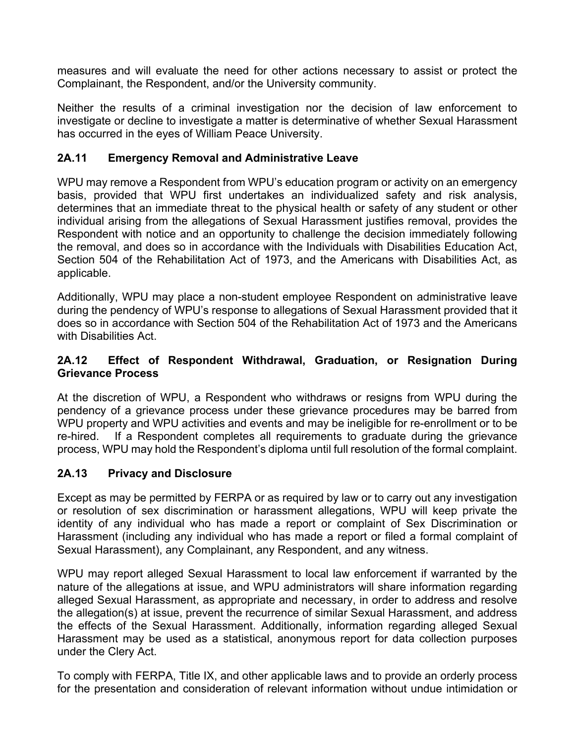measures and will evaluate the need for other actions necessary to assist or protect the Complainant, the Respondent, and/or the University community.

Neither the results of a criminal investigation nor the decision of law enforcement to investigate or decline to investigate a matter is determinative of whether Sexual Harassment has occurred in the eyes of William Peace University.

### **2A.11 Emergency Removal and Administrative Leave**

WPU may remove a Respondent from WPU's education program or activity on an emergency basis, provided that WPU first undertakes an individualized safety and risk analysis, determines that an immediate threat to the physical health or safety of any student or other individual arising from the allegations of Sexual Harassment justifies removal, provides the Respondent with notice and an opportunity to challenge the decision immediately following the removal, and does so in accordance with the Individuals with Disabilities Education Act, Section 504 of the Rehabilitation Act of 1973, and the Americans with Disabilities Act, as applicable.

Additionally, WPU may place a non-student employee Respondent on administrative leave during the pendency of WPU's response to allegations of Sexual Harassment provided that it does so in accordance with Section 504 of the Rehabilitation Act of 1973 and the Americans with Disabilities Act.

### <span id="page-14-0"></span>**2A.12 Effect of Respondent Withdrawal, Graduation, or Resignation During Grievance Process**

At the discretion of WPU, a Respondent who withdraws or resigns from WPU during the pendency of a grievance process under these grievance procedures may be barred from WPU property and WPU activities and events and may be ineligible for re-enrollment or to be re-hired. If a Respondent completes all requirements to graduate during the grievance process, WPU may hold the Respondent's diploma until full resolution of the formal complaint.

## <span id="page-14-1"></span>**2A.13 Privacy and Disclosure**

Except as may be permitted by FERPA or as required by law or to carry out any investigation or resolution of sex discrimination or harassment allegations, WPU will keep private the identity of any individual who has made a report or complaint of Sex Discrimination or Harassment (including any individual who has made a report or filed a formal complaint of Sexual Harassment), any Complainant, any Respondent, and any witness.

WPU may report alleged Sexual Harassment to local law enforcement if warranted by the nature of the allegations at issue, and WPU administrators will share information regarding alleged Sexual Harassment, as appropriate and necessary, in order to address and resolve the allegation(s) at issue, prevent the recurrence of similar Sexual Harassment, and address the effects of the Sexual Harassment. Additionally, information regarding alleged Sexual Harassment may be used as a statistical, anonymous report for data collection purposes under the Clery Act.

To comply with FERPA, Title IX, and other applicable laws and to provide an orderly process for the presentation and consideration of relevant information without undue intimidation or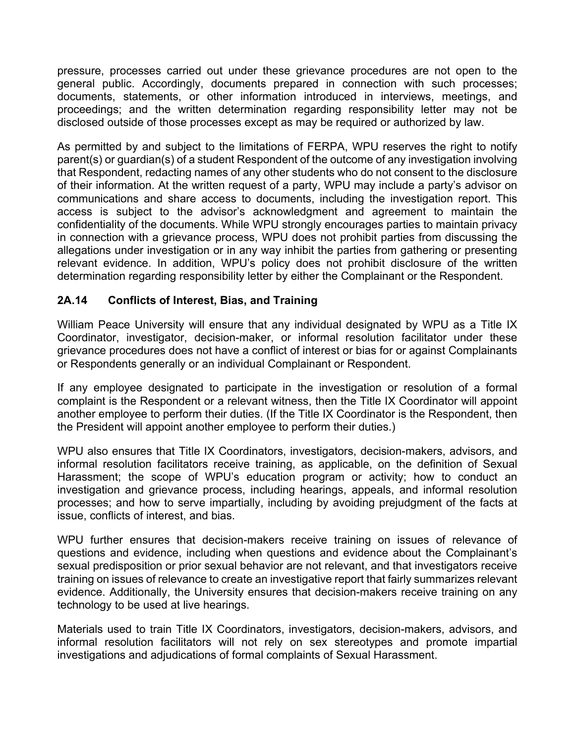pressure, processes carried out under these grievance procedures are not open to the general public. Accordingly, documents prepared in connection with such processes; documents, statements, or other information introduced in interviews, meetings, and proceedings; and the written determination regarding responsibility letter may not be disclosed outside of those processes except as may be required or authorized by law.

As permitted by and subject to the limitations of FERPA, WPU reserves the right to notify parent(s) or guardian(s) of a student Respondent of the outcome of any investigation involving that Respondent, redacting names of any other students who do not consent to the disclosure of their information. At the written request of a party, WPU may include a party's advisor on communications and share access to documents, including the investigation report. This access is subject to the advisor's acknowledgment and agreement to maintain the confidentiality of the documents. While WPU strongly encourages parties to maintain privacy in connection with a grievance process, WPU does not prohibit parties from discussing the allegations under investigation or in any way inhibit the parties from gathering or presenting relevant evidence. In addition, WPU's policy does not prohibit disclosure of the written determination regarding responsibility letter by either the Complainant or the Respondent.

### **2A.14 Conflicts of Interest, Bias, and Training**

William Peace University will ensure that any individual designated by WPU as a Title IX Coordinator, investigator, decision-maker, or informal resolution facilitator under these grievance procedures does not have a conflict of interest or bias for or against Complainants or Respondents generally or an individual Complainant or Respondent.

If any employee designated to participate in the investigation or resolution of a formal complaint is the Respondent or a relevant witness, then the Title IX Coordinator will appoint another employee to perform their duties. (If the Title IX Coordinator is the Respondent, then the President will appoint another employee to perform their duties.)

WPU also ensures that Title IX Coordinators, investigators, decision-makers, advisors, and informal resolution facilitators receive training, as applicable, on the definition of Sexual Harassment; the scope of WPU's education program or activity; how to conduct an investigation and grievance process, including hearings, appeals, and informal resolution processes; and how to serve impartially, including by avoiding prejudgment of the facts at issue, conflicts of interest, and bias.

WPU further ensures that decision-makers receive training on issues of relevance of questions and evidence, including when questions and evidence about the Complainant's sexual predisposition or prior sexual behavior are not relevant, and that investigators receive training on issues of relevance to create an investigative report that fairly summarizes relevant evidence. Additionally, the University ensures that decision-makers receive training on any technology to be used at live hearings.

Materials used to train Title IX Coordinators, investigators, decision-makers, advisors, and informal resolution facilitators will not rely on sex stereotypes and promote impartial investigations and adjudications of formal complaints of Sexual Harassment.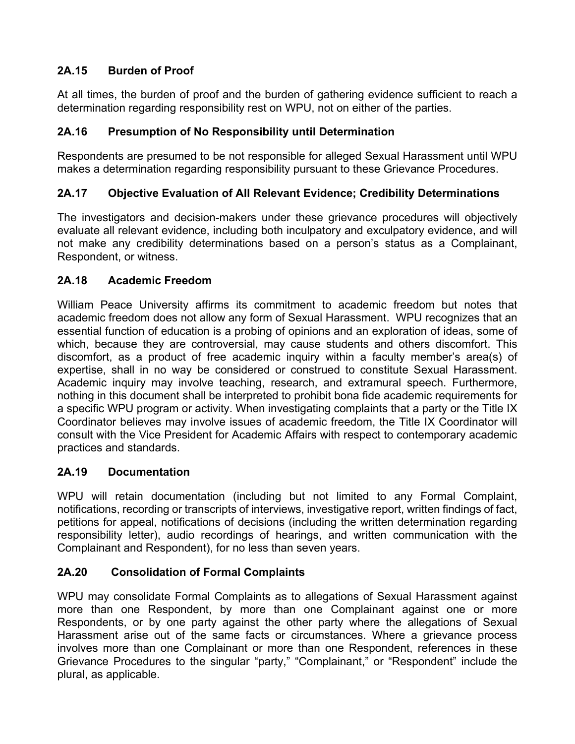# **2A.15 Burden of Proof**

At all times, the burden of proof and the burden of gathering evidence sufficient to reach a determination regarding responsibility rest on WPU, not on either of the parties.

## **2A.16 Presumption of No Responsibility until Determination**

Respondents are presumed to be not responsible for alleged Sexual Harassment until WPU makes a determination regarding responsibility pursuant to these Grievance Procedures.

## **2A.17 Objective Evaluation of All Relevant Evidence; Credibility Determinations**

The investigators and decision-makers under these grievance procedures will objectively evaluate all relevant evidence, including both inculpatory and exculpatory evidence, and will not make any credibility determinations based on a person's status as a Complainant, Respondent, or witness.

### **2A.18 Academic Freedom**

William Peace University affirms its commitment to academic freedom but notes that academic freedom does not allow any form of Sexual Harassment. WPU recognizes that an essential function of education is a probing of opinions and an exploration of ideas, some of which, because they are controversial, may cause students and others discomfort. This discomfort, as a product of free academic inquiry within a faculty member's area(s) of expertise, shall in no way be considered or construed to constitute Sexual Harassment. Academic inquiry may involve teaching, research, and extramural speech. Furthermore, nothing in this document shall be interpreted to prohibit bona fide academic requirements for a specific WPU program or activity. When investigating complaints that a party or the Title IX Coordinator believes may involve issues of academic freedom, the Title IX Coordinator will consult with the Vice President for Academic Affairs with respect to contemporary academic practices and standards.

## **2A.19 Documentation**

WPU will retain documentation (including but not limited to any Formal Complaint, notifications, recording or transcripts of interviews, investigative report, written findings of fact, petitions for appeal, notifications of decisions (including the written determination regarding responsibility letter), audio recordings of hearings, and written communication with the Complainant and Respondent), for no less than seven years.

## <span id="page-16-0"></span>**2A.20 Consolidation of Formal Complaints**

WPU may consolidate Formal Complaints as to allegations of Sexual Harassment against more than one Respondent, by more than one Complainant against one or more Respondents, or by one party against the other party where the allegations of Sexual Harassment arise out of the same facts or circumstances. Where a grievance process involves more than one Complainant or more than one Respondent, references in these Grievance Procedures to the singular "party," "Complainant," or "Respondent" include the plural, as applicable.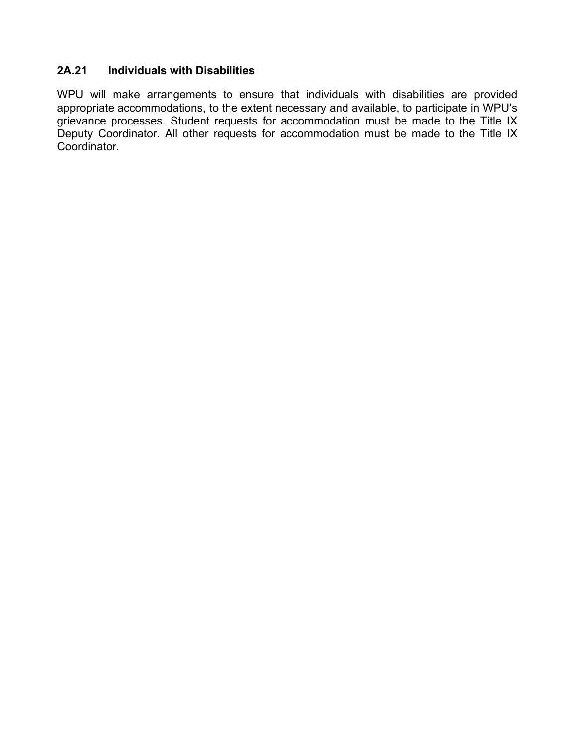#### **2A.21 Individuals with Disabilities**

WPU will make arrangements to ensure that individuals with disabilities are provided appropriate accommodations, to the extent necessary and available, to participate in WPU's grievance processes. Student requests for accommodation must be made to the Title IX Deputy Coordinator. All other requests for accommodation must be made to the Title IX Coordinator.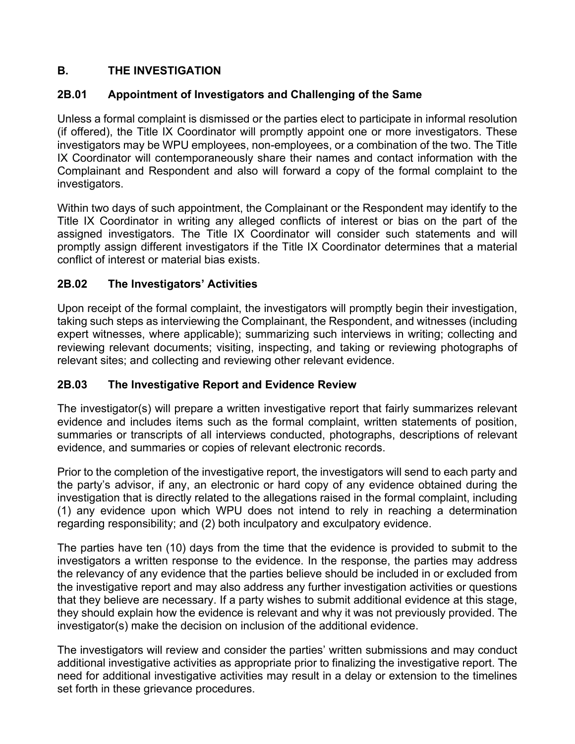# **B. THE INVESTIGATION**

## **2B.01 Appointment of Investigators and Challenging of the Same**

Unless a formal complaint is dismissed or the parties elect to participate in informal resolution (if offered), the Title IX Coordinator will promptly appoint one or more investigators. These investigators may be WPU employees, non-employees, or a combination of the two. The Title IX Coordinator will contemporaneously share their names and contact information with the Complainant and Respondent and also will forward a copy of the formal complaint to the investigators.

Within two days of such appointment, the Complainant or the Respondent may identify to the Title IX Coordinator in writing any alleged conflicts of interest or bias on the part of the assigned investigators. The Title IX Coordinator will consider such statements and will promptly assign different investigators if the Title IX Coordinator determines that a material conflict of interest or material bias exists.

### **2B.02 The Investigators' Activities**

Upon receipt of the formal complaint, the investigators will promptly begin their investigation, taking such steps as interviewing the Complainant, the Respondent, and witnesses (including expert witnesses, where applicable); summarizing such interviews in writing; collecting and reviewing relevant documents; visiting, inspecting, and taking or reviewing photographs of relevant sites; and collecting and reviewing other relevant evidence.

#### <span id="page-18-0"></span>**2B.03 The Investigative Report and Evidence Review**

The investigator(s) will prepare a written investigative report that fairly summarizes relevant evidence and includes items such as the formal complaint, written statements of position, summaries or transcripts of all interviews conducted, photographs, descriptions of relevant evidence, and summaries or copies of relevant electronic records.

Prior to the completion of the investigative report, the investigators will send to each party and the party's advisor, if any, an electronic or hard copy of any evidence obtained during the investigation that is directly related to the allegations raised in the formal complaint, including (1) any evidence upon which WPU does not intend to rely in reaching a determination regarding responsibility; and (2) both inculpatory and exculpatory evidence.

The parties have ten (10) days from the time that the evidence is provided to submit to the investigators a written response to the evidence. In the response, the parties may address the relevancy of any evidence that the parties believe should be included in or excluded from the investigative report and may also address any further investigation activities or questions that they believe are necessary. If a party wishes to submit additional evidence at this stage, they should explain how the evidence is relevant and why it was not previously provided. The investigator(s) make the decision on inclusion of the additional evidence.

The investigators will review and consider the parties' written submissions and may conduct additional investigative activities as appropriate prior to finalizing the investigative report. The need for additional investigative activities may result in a delay or extension to the timelines set forth in these grievance procedures.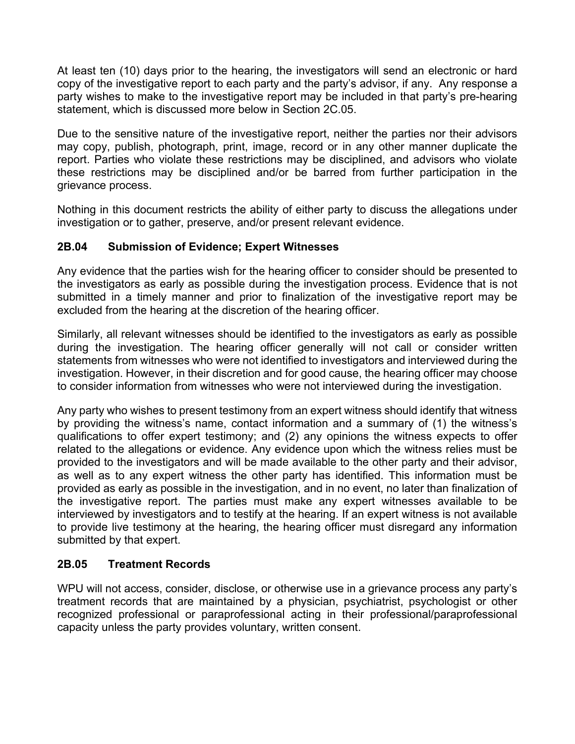At least ten (10) days prior to the hearing, the investigators will send an electronic or hard copy of the investigative report to each party and the party's advisor, if any. Any response a party wishes to make to the investigative report may be included in that party's pre-hearing statement, which is discussed more below in Section 2C.05.

Due to the sensitive nature of the investigative report, neither the parties nor their advisors may copy, publish, photograph, print, image, record or in any other manner duplicate the report. Parties who violate these restrictions may be disciplined, and advisors who violate these restrictions may be disciplined and/or be barred from further participation in the grievance process.

Nothing in this document restricts the ability of either party to discuss the allegations under investigation or to gather, preserve, and/or present relevant evidence.

## **2B.04 Submission of Evidence; Expert Witnesses**

Any evidence that the parties wish for the hearing officer to consider should be presented to the investigators as early as possible during the investigation process. Evidence that is not submitted in a timely manner and prior to finalization of the investigative report may be excluded from the hearing at the discretion of the hearing officer.

Similarly, all relevant witnesses should be identified to the investigators as early as possible during the investigation. The hearing officer generally will not call or consider written statements from witnesses who were not identified to investigators and interviewed during the investigation. However, in their discretion and for good cause, the hearing officer may choose to consider information from witnesses who were not interviewed during the investigation.

Any party who wishes to present testimony from an expert witness should identify that witness by providing the witness's name, contact information and a summary of (1) the witness's qualifications to offer expert testimony; and (2) any opinions the witness expects to offer related to the allegations or evidence. Any evidence upon which the witness relies must be provided to the investigators and will be made available to the other party and their advisor, as well as to any expert witness the other party has identified. This information must be provided as early as possible in the investigation, and in no event, no later than finalization of the investigative report. The parties must make any expert witnesses available to be interviewed by investigators and to testify at the hearing. If an expert witness is not available to provide live testimony at the hearing, the hearing officer must disregard any information submitted by that expert.

#### **2B.05 Treatment Records**

WPU will not access, consider, disclose, or otherwise use in a grievance process any party's treatment records that are maintained by a physician, psychiatrist, psychologist or other recognized professional or paraprofessional acting in their professional/paraprofessional capacity unless the party provides voluntary, written consent.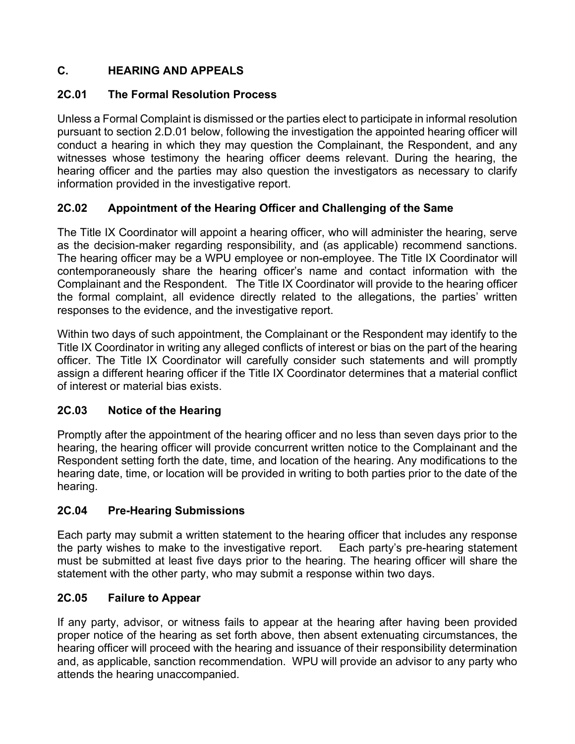# **C. HEARING AND APPEALS**

## **2C.01 The Formal Resolution Process**

Unless a Formal Complaint is dismissed or the parties elect to participate in informal resolution pursuant to section 2.D.01 below, following the investigation the appointed hearing officer will conduct a hearing in which they may question the Complainant, the Respondent, and any witnesses whose testimony the hearing officer deems relevant. During the hearing, the hearing officer and the parties may also question the investigators as necessary to clarify information provided in the investigative report.

## **2C.02 Appointment of the Hearing Officer and Challenging of the Same**

The Title IX Coordinator will appoint a hearing officer, who will administer the hearing, serve as the decision-maker regarding responsibility, and (as applicable) recommend sanctions. The hearing officer may be a WPU employee or non-employee. The Title IX Coordinator will contemporaneously share the hearing officer's name and contact information with the Complainant and the Respondent. The Title IX Coordinator will provide to the hearing officer the formal complaint, all evidence directly related to the allegations, the parties' written responses to the evidence, and the investigative report.

Within two days of such appointment, the Complainant or the Respondent may identify to the Title IX Coordinator in writing any alleged conflicts of interest or bias on the part of the hearing officer. The Title IX Coordinator will carefully consider such statements and will promptly assign a different hearing officer if the Title IX Coordinator determines that a material conflict of interest or material bias exists.

## **2C.03 Notice of the Hearing**

Promptly after the appointment of the hearing officer and no less than seven days prior to the hearing, the hearing officer will provide concurrent written notice to the Complainant and the Respondent setting forth the date, time, and location of the hearing. Any modifications to the hearing date, time, or location will be provided in writing to both parties prior to the date of the hearing.

## **2C.04 Pre-Hearing Submissions**

Each party may submit a written statement to the hearing officer that includes any response the party wishes to make to the investigative report. Each party's pre-hearing statement must be submitted at least five days prior to the hearing. The hearing officer will share the statement with the other party, who may submit a response within two days.

## **2C.05 Failure to Appear**

If any party, advisor, or witness fails to appear at the hearing after having been provided proper notice of the hearing as set forth above, then absent extenuating circumstances, the hearing officer will proceed with the hearing and issuance of their responsibility determination and, as applicable, sanction recommendation. WPU will provide an advisor to any party who attends the hearing unaccompanied.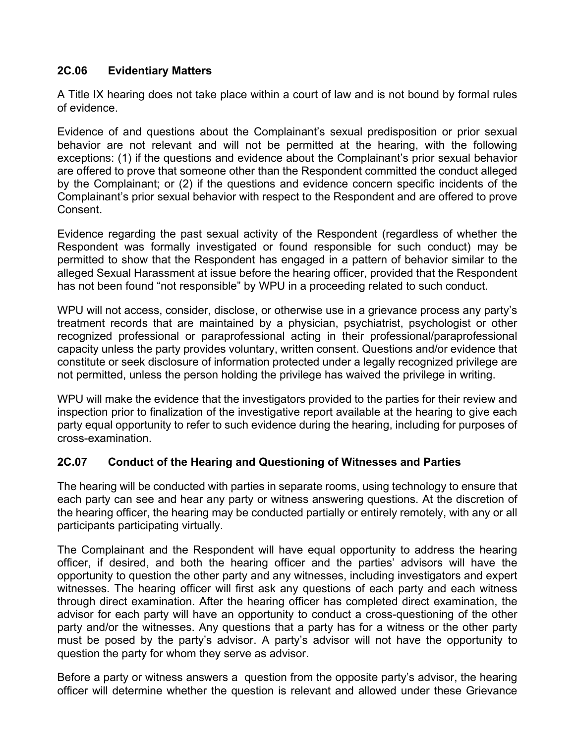### **2C.06 Evidentiary Matters**

A Title IX hearing does not take place within a court of law and is not bound by formal rules of evidence.

Evidence of and questions about the Complainant's sexual predisposition or prior sexual behavior are not relevant and will not be permitted at the hearing, with the following exceptions: (1) if the questions and evidence about the Complainant's prior sexual behavior are offered to prove that someone other than the Respondent committed the conduct alleged by the Complainant; or (2) if the questions and evidence concern specific incidents of the Complainant's prior sexual behavior with respect to the Respondent and are offered to prove **Consent** 

Evidence regarding the past sexual activity of the Respondent (regardless of whether the Respondent was formally investigated or found responsible for such conduct) may be permitted to show that the Respondent has engaged in a pattern of behavior similar to the alleged Sexual Harassment at issue before the hearing officer, provided that the Respondent has not been found "not responsible" by WPU in a proceeding related to such conduct.

WPU will not access, consider, disclose, or otherwise use in a grievance process any party's treatment records that are maintained by a physician, psychiatrist, psychologist or other recognized professional or paraprofessional acting in their professional/paraprofessional capacity unless the party provides voluntary, written consent. Questions and/or evidence that constitute or seek disclosure of information protected under a legally recognized privilege are not permitted, unless the person holding the privilege has waived the privilege in writing.

WPU will make the evidence that the investigators provided to the parties for their review and inspection prior to finalization of the investigative report available at the hearing to give each party equal opportunity to refer to such evidence during the hearing, including for purposes of cross-examination.

## **2C.07 Conduct of the Hearing and Questioning of Witnesses and Parties**

The hearing will be conducted with parties in separate rooms, using technology to ensure that each party can see and hear any party or witness answering questions. At the discretion of the hearing officer, the hearing may be conducted partially or entirely remotely, with any or all participants participating virtually.

The Complainant and the Respondent will have equal opportunity to address the hearing officer, if desired, and both the hearing officer and the parties' advisors will have the opportunity to question the other party and any witnesses, including investigators and expert witnesses. The hearing officer will first ask any questions of each party and each witness through direct examination. After the hearing officer has completed direct examination, the advisor for each party will have an opportunity to conduct a cross-questioning of the other party and/or the witnesses. Any questions that a party has for a witness or the other party must be posed by the party's advisor. A party's advisor will not have the opportunity to question the party for whom they serve as advisor.

Before a party or witness answers a question from the opposite party's advisor, the hearing officer will determine whether the question is relevant and allowed under these Grievance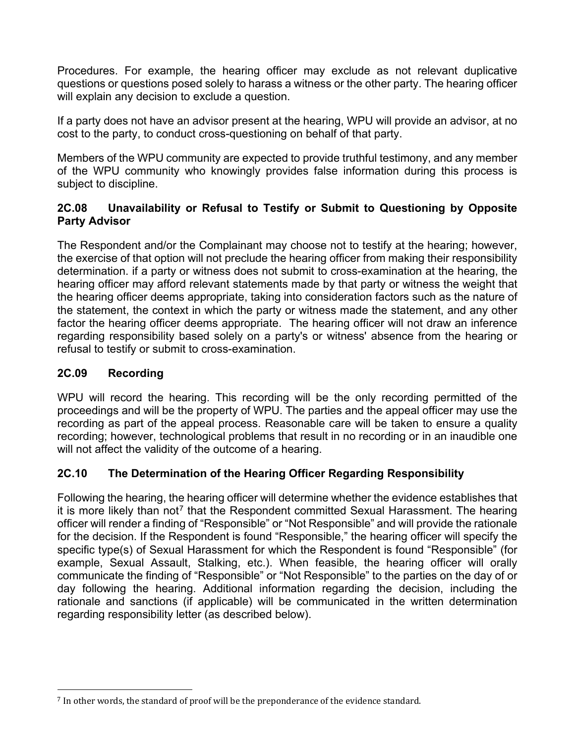Procedures. For example, the hearing officer may exclude as not relevant duplicative questions or questions posed solely to harass a witness or the other party. The hearing officer will explain any decision to exclude a question.

If a party does not have an advisor present at the hearing, WPU will provide an advisor, at no cost to the party, to conduct cross-questioning on behalf of that party.

Members of the WPU community are expected to provide truthful testimony, and any member of the WPU community who knowingly provides false information during this process is subject to discipline.

## **2C.08 Unavailability or Refusal to Testify or Submit to Questioning by Opposite Party Advisor**

The Respondent and/or the Complainant may choose not to testify at the hearing; however, the exercise of that option will not preclude the hearing officer from making their responsibility determination. if a party or witness does not submit to cross-examination at the hearing, the hearing officer may afford relevant statements made by that party or witness the weight that the hearing officer deems appropriate, taking into consideration factors such as the nature of the statement, the context in which the party or witness made the statement, and any other factor the hearing officer deems appropriate. The hearing officer will not draw an inference regarding responsibility based solely on a party's or witness' absence from the hearing or refusal to testify or submit to cross-examination.

## **2C.09 Recording**

WPU will record the hearing. This recording will be the only recording permitted of the proceedings and will be the property of WPU. The parties and the appeal officer may use the recording as part of the appeal process. Reasonable care will be taken to ensure a quality recording; however, technological problems that result in no recording or in an inaudible one will not affect the validity of the outcome of a hearing.

## **2C.10 The Determination of the Hearing Officer Regarding Responsibility**

Following the hearing, the hearing officer will determine whether the evidence establishes that it is more likely than not<sup>[7](#page-22-0)</sup> that the Respondent committed Sexual Harassment. The hearing officer will render a finding of "Responsible" or "Not Responsible" and will provide the rationale for the decision. If the Respondent is found "Responsible," the hearing officer will specify the specific type(s) of Sexual Harassment for which the Respondent is found "Responsible" (for example, Sexual Assault, Stalking, etc.). When feasible, the hearing officer will orally communicate the finding of "Responsible" or "Not Responsible" to the parties on the day of or day following the hearing. Additional information regarding the decision, including the rationale and sanctions (if applicable) will be communicated in the written determination regarding responsibility letter (as described below).

<span id="page-22-0"></span><sup>7</sup> In other words, the standard of proof will be the preponderance of the evidence standard.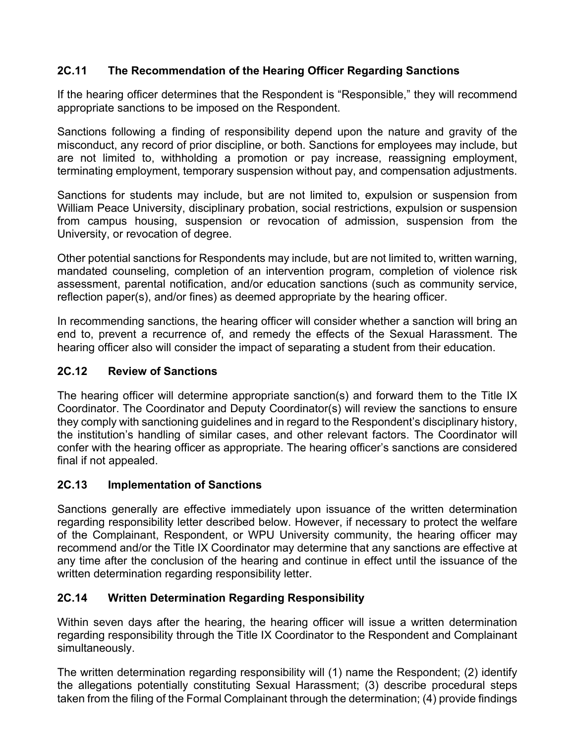## **2C.11 The Recommendation of the Hearing Officer Regarding Sanctions**

If the hearing officer determines that the Respondent is "Responsible," they will recommend appropriate sanctions to be imposed on the Respondent.

Sanctions following a finding of responsibility depend upon the nature and gravity of the misconduct, any record of prior discipline, or both. Sanctions for employees may include, but are not limited to, withholding a promotion or pay increase, reassigning employment, terminating employment, temporary suspension without pay, and compensation adjustments.

Sanctions for students may include, but are not limited to, expulsion or suspension from William Peace University, disciplinary probation, social restrictions, expulsion or suspension from campus housing, suspension or revocation of admission, suspension from the University, or revocation of degree.

Other potential sanctions for Respondents may include, but are not limited to, written warning, mandated counseling, completion of an intervention program, completion of violence risk assessment, parental notification, and/or education sanctions (such as community service, reflection paper(s), and/or fines) as deemed appropriate by the hearing officer.

In recommending sanctions, the hearing officer will consider whether a sanction will bring an end to, prevent a recurrence of, and remedy the effects of the Sexual Harassment. The hearing officer also will consider the impact of separating a student from their education.

## **2C.12 Review of Sanctions**

The hearing officer will determine appropriate sanction(s) and forward them to the Title IX Coordinator. The Coordinator and Deputy Coordinator(s) will review the sanctions to ensure they comply with sanctioning guidelines and in regard to the Respondent's disciplinary history, the institution's handling of similar cases, and other relevant factors. The Coordinator will confer with the hearing officer as appropriate. The hearing officer's sanctions are considered final if not appealed.

## **2C.13 Implementation of Sanctions**

Sanctions generally are effective immediately upon issuance of the written determination regarding responsibility letter described below. However, if necessary to protect the welfare of the Complainant, Respondent, or WPU University community, the hearing officer may recommend and/or the Title IX Coordinator may determine that any sanctions are effective at any time after the conclusion of the hearing and continue in effect until the issuance of the written determination regarding responsibility letter.

## **2C.14 Written Determination Regarding Responsibility**

Within seven days after the hearing, the hearing officer will issue a written determination regarding responsibility through the Title IX Coordinator to the Respondent and Complainant simultaneously.

The written determination regarding responsibility will (1) name the Respondent; (2) identify the allegations potentially constituting Sexual Harassment; (3) describe procedural steps taken from the filing of the Formal Complainant through the determination; (4) provide findings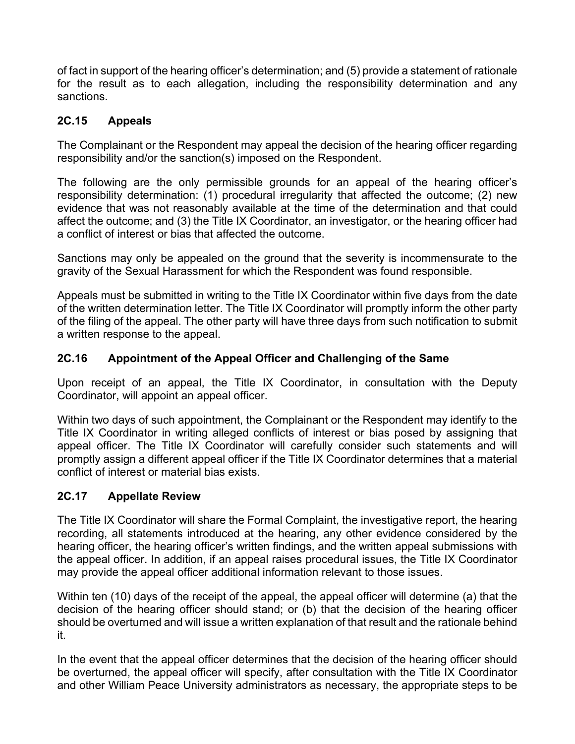of fact in support of the hearing officer's determination; and (5) provide a statement of rationale for the result as to each allegation, including the responsibility determination and any sanctions.

## **2C.15 Appeals**

The Complainant or the Respondent may appeal the decision of the hearing officer regarding responsibility and/or the sanction(s) imposed on the Respondent.

The following are the only permissible grounds for an appeal of the hearing officer's responsibility determination: (1) procedural irregularity that affected the outcome; (2) new evidence that was not reasonably available at the time of the determination and that could affect the outcome; and (3) the Title IX Coordinator, an investigator, or the hearing officer had a conflict of interest or bias that affected the outcome.

Sanctions may only be appealed on the ground that the severity is incommensurate to the gravity of the Sexual Harassment for which the Respondent was found responsible.

Appeals must be submitted in writing to the Title IX Coordinator within five days from the date of the written determination letter. The Title IX Coordinator will promptly inform the other party of the filing of the appeal. The other party will have three days from such notification to submit a written response to the appeal.

## **2C.16 Appointment of the Appeal Officer and Challenging of the Same**

Upon receipt of an appeal, the Title IX Coordinator, in consultation with the Deputy Coordinator, will appoint an appeal officer.

Within two days of such appointment, the Complainant or the Respondent may identify to the Title IX Coordinator in writing alleged conflicts of interest or bias posed by assigning that appeal officer. The Title IX Coordinator will carefully consider such statements and will promptly assign a different appeal officer if the Title IX Coordinator determines that a material conflict of interest or material bias exists.

## **2C.17 Appellate Review**

The Title IX Coordinator will share the Formal Complaint, the investigative report, the hearing recording, all statements introduced at the hearing, any other evidence considered by the hearing officer, the hearing officer's written findings, and the written appeal submissions with the appeal officer. In addition, if an appeal raises procedural issues, the Title IX Coordinator may provide the appeal officer additional information relevant to those issues.

Within ten (10) days of the receipt of the appeal, the appeal officer will determine (a) that the decision of the hearing officer should stand; or (b) that the decision of the hearing officer should be overturned and will issue a written explanation of that result and the rationale behind it.

In the event that the appeal officer determines that the decision of the hearing officer should be overturned, the appeal officer will specify, after consultation with the Title IX Coordinator and other William Peace University administrators as necessary, the appropriate steps to be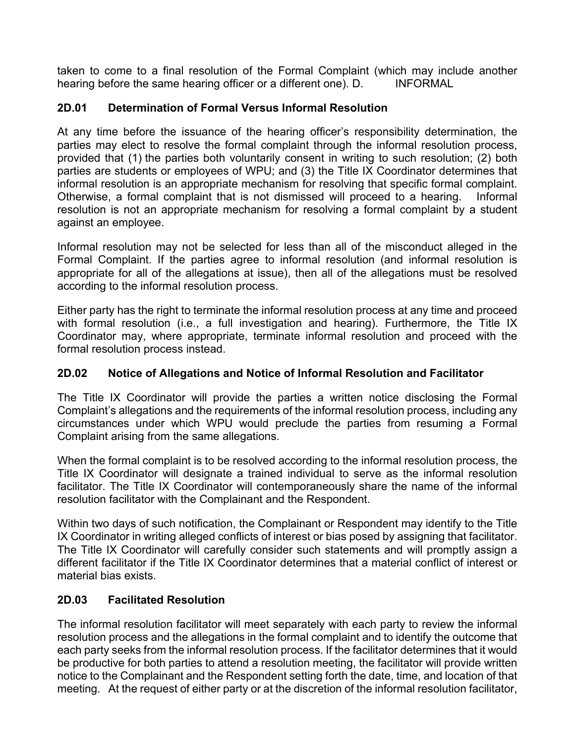taken to come to a final resolution of the Formal Complaint (which may include another hearing before the same hearing officer or a different one). D. INFORMAL

## **2D.01 Determination of Formal Versus Informal Resolution**

At any time before the issuance of the hearing officer's responsibility determination, the parties may elect to resolve the formal complaint through the informal resolution process, provided that (1) the parties both voluntarily consent in writing to such resolution; (2) both parties are students or employees of WPU; and (3) the Title IX Coordinator determines that informal resolution is an appropriate mechanism for resolving that specific formal complaint. Otherwise, a formal complaint that is not dismissed will proceed to a hearing. Informal resolution is not an appropriate mechanism for resolving a formal complaint by a student against an employee.

Informal resolution may not be selected for less than all of the misconduct alleged in the Formal Complaint. If the parties agree to informal resolution (and informal resolution is appropriate for all of the allegations at issue), then all of the allegations must be resolved according to the informal resolution process.

Either party has the right to terminate the informal resolution process at any time and proceed with formal resolution (i.e., a full investigation and hearing). Furthermore, the Title IX Coordinator may, where appropriate, terminate informal resolution and proceed with the formal resolution process instead.

#### **2D.02 Notice of Allegations and Notice of Informal Resolution and Facilitator**

The Title IX Coordinator will provide the parties a written notice disclosing the Formal Complaint's allegations and the requirements of the informal resolution process, including any circumstances under which WPU would preclude the parties from resuming a Formal Complaint arising from the same allegations.

When the formal complaint is to be resolved according to the informal resolution process, the Title IX Coordinator will designate a trained individual to serve as the informal resolution facilitator. The Title IX Coordinator will contemporaneously share the name of the informal resolution facilitator with the Complainant and the Respondent.

Within two days of such notification, the Complainant or Respondent may identify to the Title IX Coordinator in writing alleged conflicts of interest or bias posed by assigning that facilitator. The Title IX Coordinator will carefully consider such statements and will promptly assign a different facilitator if the Title IX Coordinator determines that a material conflict of interest or material bias exists.

## **2D.03 Facilitated Resolution**

The informal resolution facilitator will meet separately with each party to review the informal resolution process and the allegations in the formal complaint and to identify the outcome that each party seeks from the informal resolution process. If the facilitator determines that it would be productive for both parties to attend a resolution meeting, the facilitator will provide written notice to the Complainant and the Respondent setting forth the date, time, and location of that meeting. At the request of either party or at the discretion of the informal resolution facilitator,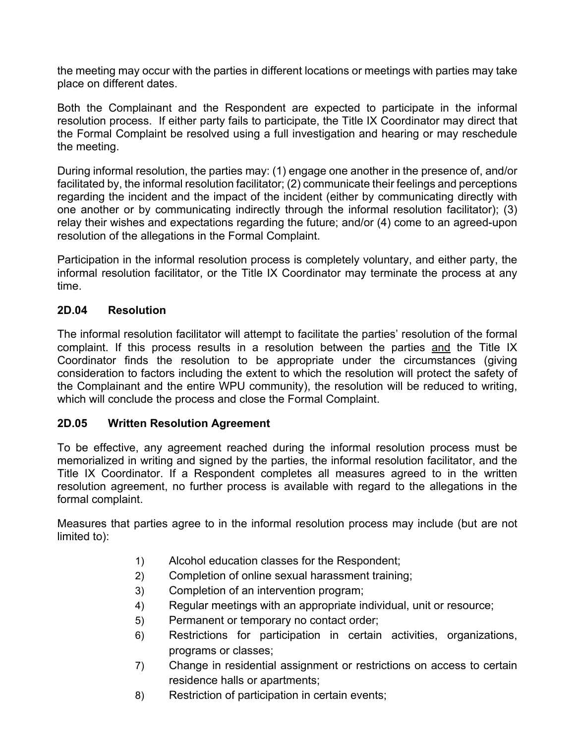the meeting may occur with the parties in different locations or meetings with parties may take place on different dates.

Both the Complainant and the Respondent are expected to participate in the informal resolution process. If either party fails to participate, the Title IX Coordinator may direct that the Formal Complaint be resolved using a full investigation and hearing or may reschedule the meeting.

During informal resolution, the parties may: (1) engage one another in the presence of, and/or facilitated by, the informal resolution facilitator; (2) communicate their feelings and perceptions regarding the incident and the impact of the incident (either by communicating directly with one another or by communicating indirectly through the informal resolution facilitator); (3) relay their wishes and expectations regarding the future; and/or (4) come to an agreed-upon resolution of the allegations in the Formal Complaint.

Participation in the informal resolution process is completely voluntary, and either party, the informal resolution facilitator, or the Title IX Coordinator may terminate the process at any time.

#### **2D.04 Resolution**

The informal resolution facilitator will attempt to facilitate the parties' resolution of the formal complaint. If this process results in a resolution between the parties and the Title IX Coordinator finds the resolution to be appropriate under the circumstances (giving consideration to factors including the extent to which the resolution will protect the safety of the Complainant and the entire WPU community), the resolution will be reduced to writing, which will conclude the process and close the Formal Complaint.

## **2D.05 Written Resolution Agreement**

To be effective, any agreement reached during the informal resolution process must be memorialized in writing and signed by the parties, the informal resolution facilitator, and the Title IX Coordinator. If a Respondent completes all measures agreed to in the written resolution agreement, no further process is available with regard to the allegations in the formal complaint.

Measures that parties agree to in the informal resolution process may include (but are not limited to):

- 1) Alcohol education classes for the Respondent;
- 2) Completion of online sexual harassment training;
- 3) Completion of an intervention program;
- 4) Regular meetings with an appropriate individual, unit or resource;
- 5) Permanent or temporary no contact order;
- 6) Restrictions for participation in certain activities, organizations, programs or classes;
- 7) Change in residential assignment or restrictions on access to certain residence halls or apartments;
- 8) Restriction of participation in certain events;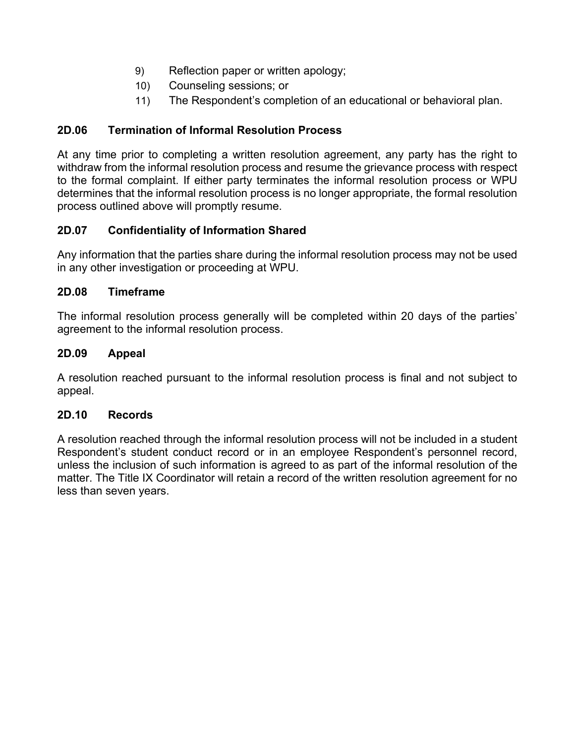- 9) Reflection paper or written apology;
- 10) Counseling sessions; or
- 11) The Respondent's completion of an educational or behavioral plan.

# **2D.06 Termination of Informal Resolution Process**

At any time prior to completing a written resolution agreement, any party has the right to withdraw from the informal resolution process and resume the grievance process with respect to the formal complaint. If either party terminates the informal resolution process or WPU determines that the informal resolution process is no longer appropriate, the formal resolution process outlined above will promptly resume.

# **2D.07 Confidentiality of Information Shared**

Any information that the parties share during the informal resolution process may not be used in any other investigation or proceeding at WPU.

## **2D.08 Timeframe**

The informal resolution process generally will be completed within 20 days of the parties' agreement to the informal resolution process.

## **2D.09 Appeal**

A resolution reached pursuant to the informal resolution process is final and not subject to appeal.

## **2D.10 Records**

A resolution reached through the informal resolution process will not be included in a student Respondent's student conduct record or in an employee Respondent's personnel record, unless the inclusion of such information is agreed to as part of the informal resolution of the matter. The Title IX Coordinator will retain a record of the written resolution agreement for no less than seven years.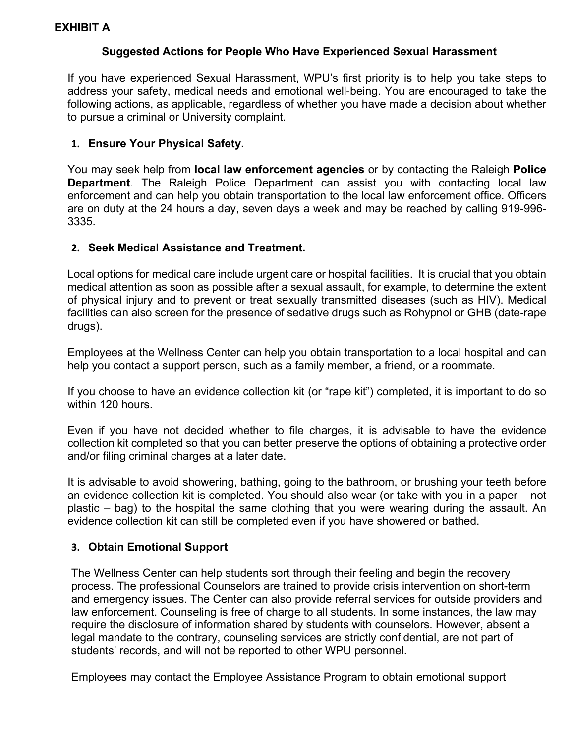### **Suggested Actions for People Who Have Experienced Sexual Harassment**

<span id="page-28-0"></span>If you have experienced Sexual Harassment, WPU's first priority is to help you take steps to address your safety, medical needs and emotional well‐being. You are encouraged to take the following actions, as applicable, regardless of whether you have made a decision about whether to pursue a criminal or University complaint.

### **1. Ensure Your Physical Safety.**

You may seek help from **local law enforcement agencies** or by contacting the Raleigh **Police Department**. The Raleigh Police Department can assist you with contacting local law enforcement and can help you obtain transportation to the local law enforcement office. Officers are on duty at the 24 hours a day, seven days a week and may be reached by calling 919-996- 3335.

### **2. Seek Medical Assistance and Treatment.**

Local options for medical care include urgent care or hospital facilities. It is crucial that you obtain medical attention as soon as possible after a sexual assault, for example, to determine the extent of physical injury and to prevent or treat sexually transmitted diseases (such as HIV). Medical facilities can also screen for the presence of sedative drugs such as Rohypnol or GHB (date‐rape drugs).

Employees at the Wellness Center can help you obtain transportation to a local hospital and can help you contact a support person, such as a family member, a friend, or a roommate.

If you choose to have an evidence collection kit (or "rape kit") completed, it is important to do so within 120 hours.

Even if you have not decided whether to file charges, it is advisable to have the evidence collection kit completed so that you can better preserve the options of obtaining a protective order and/or filing criminal charges at a later date.

It is advisable to avoid showering, bathing, going to the bathroom, or brushing your teeth before an evidence collection kit is completed. You should also wear (or take with you in a paper – not plastic – bag) to the hospital the same clothing that you were wearing during the assault. An evidence collection kit can still be completed even if you have showered or bathed.

## **3. Obtain Emotional Support**

The Wellness Center can help students sort through their feeling and begin the recovery process. The professional Counselors are trained to provide crisis intervention on short-term and emergency issues. The Center can also provide referral services for outside providers and law enforcement. Counseling is free of charge to all students. In some instances, the law may require the disclosure of information shared by students with counselors. However, absent a legal mandate to the contrary, counseling services are strictly confidential, are not part of students' records, and will not be reported to other WPU personnel.

Employees may contact the Employee Assistance Program to obtain emotional support